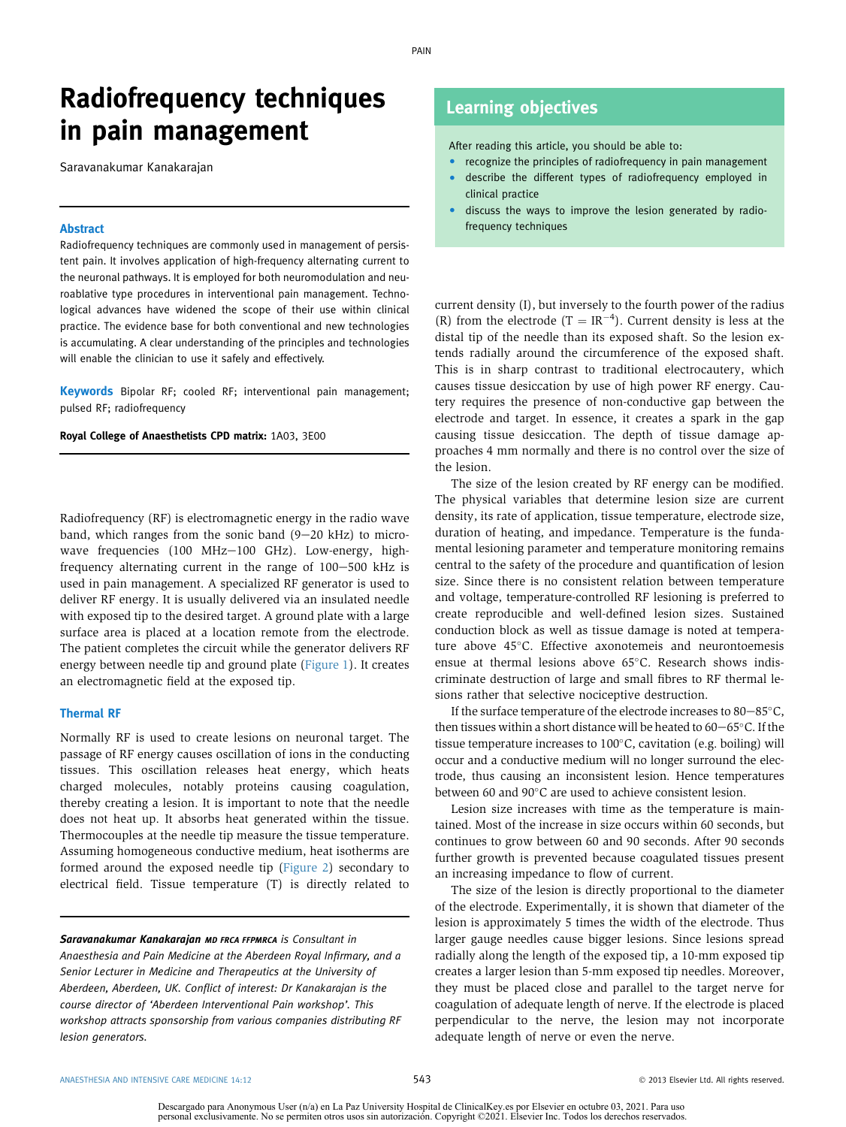# Radiofrequency techniques in pain management

Saravanakumar Kanakarajan

# Abstract

Radiofrequency techniques are commonly used in management of persistent pain. It involves application of high-frequency alternating current to the neuronal pathways. It is employed for both neuromodulation and neuroablative type procedures in interventional pain management. Technological advances have widened the scope of their use within clinical practice. The evidence base for both conventional and new technologies is accumulating. A clear understanding of the principles and technologies will enable the clinician to use it safely and effectively.

Keywords Bipolar RF; cooled RF; interventional pain management; pulsed RF; radiofrequency

Royal College of Anaesthetists CPD matrix: 1A03, 3E00

Radiofrequency (RF) is electromagnetic energy in the radio wave band, which ranges from the sonic band  $(9-20 \text{ kHz})$  to microwave frequencies (100 MHz-100 GHz). Low-energy, highfrequency alternating current in the range of  $100-500$  kHz is used in pain management. A specialized RF generator is used to deliver RF energy. It is usually delivered via an insulated needle with exposed tip to the desired target. A ground plate with a large surface area is placed at a location remote from the electrode. The patient completes the circuit while the generator delivers RF energy between needle tip and ground plate ([Figure 1\)](#page-1-0). It creates an electromagnetic field at the exposed tip.

#### Thermal RF

Normally RF is used to create lesions on neuronal target. The passage of RF energy causes oscillation of ions in the conducting tissues. This oscillation releases heat energy, which heats charged molecules, notably proteins causing coagulation, thereby creating a lesion. It is important to note that the needle does not heat up. It absorbs heat generated within the tissue. Thermocouples at the needle tip measure the tissue temperature. Assuming homogeneous conductive medium, heat isotherms are formed around the exposed needle tip [\(Figure 2\)](#page-1-0) secondary to electrical field. Tissue temperature (T) is directly related to

Saravanakumar Kanakarajan MD FRCA FFPMRCA is Consultant in Anaesthesia and Pain Medicine at the Aberdeen Royal Infirmary, and a Senior Lecturer in Medicine and Therapeutics at the University of Aberdeen, Aberdeen, UK. Conflict of interest: Dr Kanakarajan is the course director of 'Aberdeen Interventional Pain workshop'. This workshop attracts sponsorship from various companies distributing RF lesion generators.

# Learning objectives

After reading this article, you should be able to:

- recognize the principles of radiofrequency in pain management
- describe the different types of radiofrequency employed in clinical practice
- discuss the ways to improve the lesion generated by radiofrequency techniques

current density (I), but inversely to the fourth power of the radius (R) from the electrode (T =  $IR^{-4}$ ). Current density is less at the distal tip of the needle than its exposed shaft. So the lesion extends radially around the circumference of the exposed shaft. This is in sharp contrast to traditional electrocautery, which causes tissue desiccation by use of high power RF energy. Cautery requires the presence of non-conductive gap between the electrode and target. In essence, it creates a spark in the gap causing tissue desiccation. The depth of tissue damage approaches 4 mm normally and there is no control over the size of the lesion.

The size of the lesion created by RF energy can be modified. The physical variables that determine lesion size are current density, its rate of application, tissue temperature, electrode size, duration of heating, and impedance. Temperature is the fundamental lesioning parameter and temperature monitoring remains central to the safety of the procedure and quantification of lesion size. Since there is no consistent relation between temperature and voltage, temperature-controlled RF lesioning is preferred to create reproducible and well-defined lesion sizes. Sustained conduction block as well as tissue damage is noted at temperature above 45°C. Effective axonotemeis and neurontoemesis ensue at thermal lesions above 65°C. Research shows indiscriminate destruction of large and small fibres to RF thermal lesions rather that selective nociceptive destruction.

If the surface temperature of the electrode increases to  $80-85^{\circ}$ C, then tissues within a short distance will be heated to  $60-65^{\circ}$ C. If the tissue temperature increases to  $100^{\circ}$ C, cavitation (e.g. boiling) will occur and a conductive medium will no longer surround the electrode, thus causing an inconsistent lesion. Hence temperatures between 60 and  $90^{\circ}$ C are used to achieve consistent lesion.

Lesion size increases with time as the temperature is maintained. Most of the increase in size occurs within 60 seconds, but continues to grow between 60 and 90 seconds. After 90 seconds further growth is prevented because coagulated tissues present an increasing impedance to flow of current.

The size of the lesion is directly proportional to the diameter of the electrode. Experimentally, it is shown that diameter of the lesion is approximately 5 times the width of the electrode. Thus larger gauge needles cause bigger lesions. Since lesions spread radially along the length of the exposed tip, a 10-mm exposed tip creates a larger lesion than 5-mm exposed tip needles. Moreover, they must be placed close and parallel to the target nerve for coagulation of adequate length of nerve. If the electrode is placed perpendicular to the nerve, the lesion may not incorporate adequate length of nerve or even the nerve.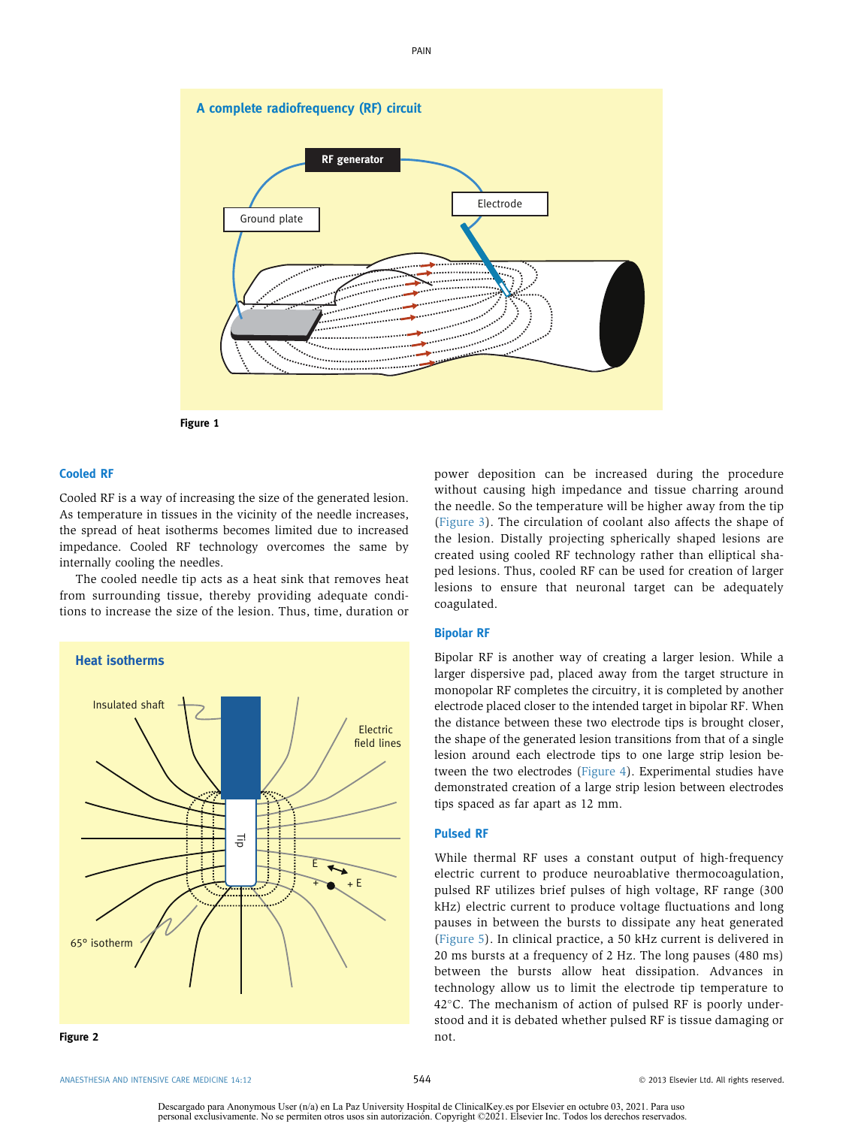<span id="page-1-0"></span>

PAIN



# Cooled RF

Cooled RF is a way of increasing the size of the generated lesion. As temperature in tissues in the vicinity of the needle increases, the spread of heat isotherms becomes limited due to increased impedance. Cooled RF technology overcomes the same by internally cooling the needles.

The cooled needle tip acts as a heat sink that removes heat from surrounding tissue, thereby providing adequate conditions to increase the size of the lesion. Thus, time, duration or



power deposition can be increased during the procedure without causing high impedance and tissue charring around the needle. So the temperature will be higher away from the tip [\(Figure 3\)](#page-2-0). The circulation of coolant also affects the shape of the lesion. Distally projecting spherically shaped lesions are created using cooled RF technology rather than elliptical shaped lesions. Thus, cooled RF can be used for creation of larger lesions to ensure that neuronal target can be adequately coagulated.

# Bipolar RF

Bipolar RF is another way of creating a larger lesion. While a larger dispersive pad, placed away from the target structure in monopolar RF completes the circuitry, it is completed by another electrode placed closer to the intended target in bipolar RF. When the distance between these two electrode tips is brought closer, the shape of the generated lesion transitions from that of a single lesion around each electrode tips to one large strip lesion between the two electrodes [\(Figure 4](#page-2-0)). Experimental studies have demonstrated creation of a large strip lesion between electrodes tips spaced as far apart as 12 mm.

#### Pulsed RF

While thermal RF uses a constant output of high-frequency electric current to produce neuroablative thermocoagulation, pulsed RF utilizes brief pulses of high voltage, RF range (300 kHz) electric current to produce voltage fluctuations and long pauses in between the bursts to dissipate any heat generated [\(Figure 5](#page-2-0)). In clinical practice, a 50 kHz current is delivered in 20 ms bursts at a frequency of 2 Hz. The long pauses (480 ms) between the bursts allow heat dissipation. Advances in technology allow us to limit the electrode tip temperature to 42 $\degree$ C. The mechanism of action of pulsed RF is poorly understood and it is debated whether pulsed RF is tissue damaging or not.